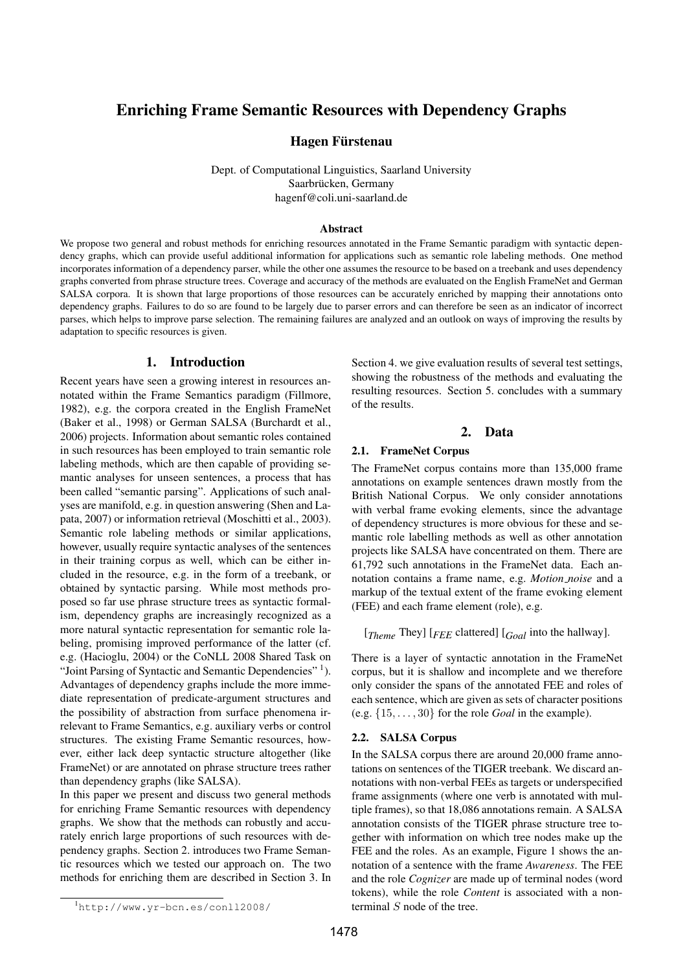# Enriching Frame Semantic Resources with Dependency Graphs

### Hagen Fürstenau

Dept. of Computational Linguistics, Saarland University Saarbrücken, Germany hagenf@coli.uni-saarland.de

#### Abstract

We propose two general and robust methods for enriching resources annotated in the Frame Semantic paradigm with syntactic dependency graphs, which can provide useful additional information for applications such as semantic role labeling methods. One method incorporates information of a dependency parser, while the other one assumes the resource to be based on a treebank and uses dependency graphs converted from phrase structure trees. Coverage and accuracy of the methods are evaluated on the English FrameNet and German SALSA corpora. It is shown that large proportions of those resources can be accurately enriched by mapping their annotations onto dependency graphs. Failures to do so are found to be largely due to parser errors and can therefore be seen as an indicator of incorrect parses, which helps to improve parse selection. The remaining failures are analyzed and an outlook on ways of improving the results by adaptation to specific resources is given.

#### 1. Introduction

Recent years have seen a growing interest in resources annotated within the Frame Semantics paradigm (Fillmore, 1982), e.g. the corpora created in the English FrameNet (Baker et al., 1998) or German SALSA (Burchardt et al., 2006) projects. Information about semantic roles contained in such resources has been employed to train semantic role labeling methods, which are then capable of providing semantic analyses for unseen sentences, a process that has been called "semantic parsing". Applications of such analyses are manifold, e.g. in question answering (Shen and Lapata, 2007) or information retrieval (Moschitti et al., 2003). Semantic role labeling methods or similar applications, however, usually require syntactic analyses of the sentences in their training corpus as well, which can be either included in the resource, e.g. in the form of a treebank, or obtained by syntactic parsing. While most methods proposed so far use phrase structure trees as syntactic formalism, dependency graphs are increasingly recognized as a more natural syntactic representation for semantic role labeling, promising improved performance of the latter (cf. e.g. (Hacioglu, 2004) or the CoNLL 2008 Shared Task on "Joint Parsing of Syntactic and Semantic Dependencies"<sup>1</sup>). Advantages of dependency graphs include the more immediate representation of predicate-argument structures and the possibility of abstraction from surface phenomena irrelevant to Frame Semantics, e.g. auxiliary verbs or control structures. The existing Frame Semantic resources, however, either lack deep syntactic structure altogether (like FrameNet) or are annotated on phrase structure trees rather than dependency graphs (like SALSA).

In this paper we present and discuss two general methods for enriching Frame Semantic resources with dependency graphs. We show that the methods can robustly and accurately enrich large proportions of such resources with dependency graphs. Section 2. introduces two Frame Semantic resources which we tested our approach on. The two methods for enriching them are described in Section 3. In

Section 4. we give evaluation results of several test settings, showing the robustness of the methods and evaluating the resulting resources. Section 5. concludes with a summary of the results.

#### 2. Data

### 2.1. FrameNet Corpus

The FrameNet corpus contains more than 135,000 frame annotations on example sentences drawn mostly from the British National Corpus. We only consider annotations with verbal frame evoking elements, since the advantage of dependency structures is more obvious for these and semantic role labelling methods as well as other annotation projects like SALSA have concentrated on them. There are 61,792 such annotations in the FrameNet data. Each annotation contains a frame name, e.g. *Motion noise* and a markup of the textual extent of the frame evoking element (FEE) and each frame element (role), e.g.

[*Theme* They] [*FEE* clattered] [*Goal* into the hallway].

There is a layer of syntactic annotation in the FrameNet corpus, but it is shallow and incomplete and we therefore only consider the spans of the annotated FEE and roles of each sentence, which are given as sets of character positions (e.g. {15, . . . , 30} for the role *Goal* in the example).

#### 2.2. SALSA Corpus

In the SALSA corpus there are around 20,000 frame annotations on sentences of the TIGER treebank. We discard annotations with non-verbal FEEs as targets or underspecified frame assignments (where one verb is annotated with multiple frames), so that 18,086 annotations remain. A SALSA annotation consists of the TIGER phrase structure tree together with information on which tree nodes make up the FEE and the roles. As an example, Figure 1 shows the annotation of a sentence with the frame *Awareness*. The FEE and the role *Cognizer* are made up of terminal nodes (word tokens), while the role *Content* is associated with a nonterminal S node of the tree.

<sup>1</sup>http://www.yr-bcn.es/conll2008/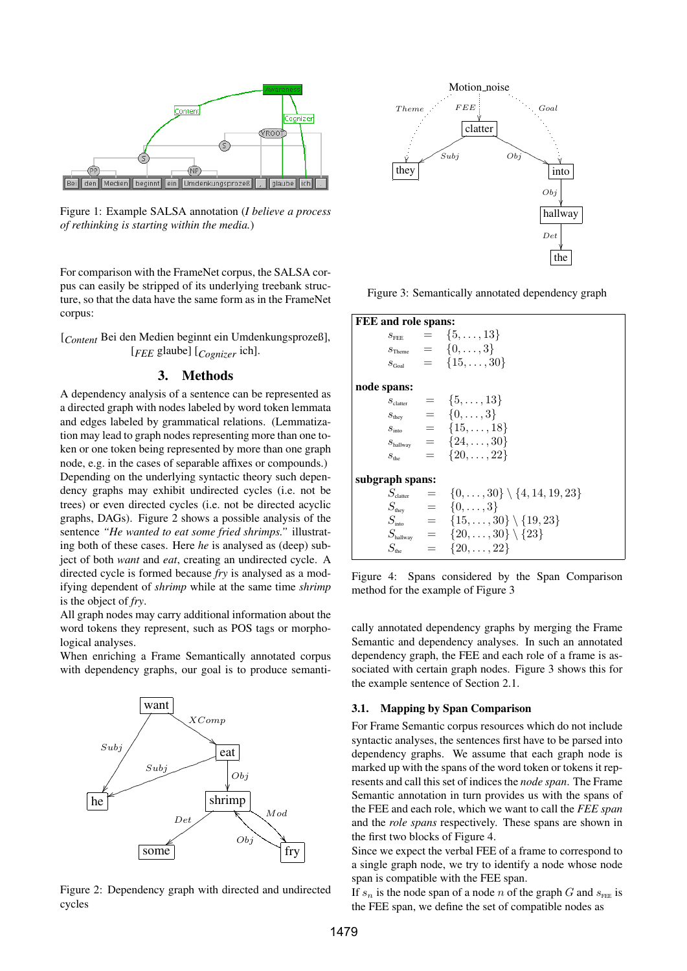

Figure 1: Example SALSA annotation (*I believe a process of rethinking is starting within the media.*)

For comparison with the FrameNet corpus, the SALSA corpus can easily be stripped of its underlying treebank structure, so that the data have the same form as in the FrameNet corpus:

[*Content* Bei den Medien beginnt ein Umdenkungsprozeß], [*FEE* glaube] [*Cognizer* ich].

## 3. Methods

A dependency analysis of a sentence can be represented as a directed graph with nodes labeled by word token lemmata and edges labeled by grammatical relations. (Lemmatization may lead to graph nodes representing more than one token or one token being represented by more than one graph node, e.g. in the cases of separable affixes or compounds.) Depending on the underlying syntactic theory such dependency graphs may exhibit undirected cycles (i.e. not be trees) or even directed cycles (i.e. not be directed acyclic graphs, DAGs). Figure 2 shows a possible analysis of the sentence *"He wanted to eat some fried shrimps."* illustrating both of these cases. Here *he* is analysed as (deep) subject of both *want* and *eat*, creating an undirected cycle. A directed cycle is formed because *fry* is analysed as a modifying dependent of *shrimp* while at the same time *shrimp* is the object of *fry*.

All graph nodes may carry additional information about the word tokens they represent, such as POS tags or morphological analyses.

When enriching a Frame Semantically annotated corpus with dependency graphs, our goal is to produce semanti-



Figure 2: Dependency graph with directed and undirected cycles



Figure 3: Semantically annotated dependency graph

| <b>FEE</b> and role spans: |                  |  |                                                                      |  |  |  |  |  |  |
|----------------------------|------------------|--|----------------------------------------------------------------------|--|--|--|--|--|--|
|                            |                  |  | $s_{\text{fEE}} = \{5, \ldots, 13\}$                                 |  |  |  |  |  |  |
|                            |                  |  | $s_{\text{Theme}} = \{0, \ldots, 3\}$                                |  |  |  |  |  |  |
|                            |                  |  | $s_{\text{Goal}} = \{15, \ldots, 30\}$                               |  |  |  |  |  |  |
| node spans:                |                  |  |                                                                      |  |  |  |  |  |  |
|                            |                  |  | $s_{\text{clatter}} = \{5, \ldots, 13\}$                             |  |  |  |  |  |  |
|                            |                  |  | $s_{\text{they}} = \{0, \ldots, 3\}$                                 |  |  |  |  |  |  |
|                            |                  |  | $s_{\text{into}} = \{15, \ldots, 18\}$                               |  |  |  |  |  |  |
|                            |                  |  | $s_{\text{hallow}} = \{24, \ldots, 30\}$                             |  |  |  |  |  |  |
|                            | $S_{\text{the}}$ |  | $= \{20, \ldots, 22\}$                                               |  |  |  |  |  |  |
| subgraph spans:            |                  |  |                                                                      |  |  |  |  |  |  |
|                            |                  |  | $S_{\text{clatter}} = \{0, \ldots, 30\} \setminus \{4, 14, 19, 23\}$ |  |  |  |  |  |  |
|                            |                  |  | $S_{\text{they}} = \{0, \ldots, 3\}$                                 |  |  |  |  |  |  |
|                            |                  |  | $S_{\text{into}} = \{15, \ldots, 30\} \setminus \{19, 23\}$          |  |  |  |  |  |  |
|                            |                  |  | $S_{\text{halloway}} = \{20, \ldots, 30\} \setminus \{23\}$          |  |  |  |  |  |  |
|                            | $S_{\text{the}}$ |  | $= \{20, \ldots, 22\}$                                               |  |  |  |  |  |  |

Figure 4: Spans considered by the Span Comparison method for the example of Figure 3

cally annotated dependency graphs by merging the Frame Semantic and dependency analyses. In such an annotated dependency graph, the FEE and each role of a frame is associated with certain graph nodes. Figure 3 shows this for the example sentence of Section 2.1.

#### 3.1. Mapping by Span Comparison

For Frame Semantic corpus resources which do not include syntactic analyses, the sentences first have to be parsed into dependency graphs. We assume that each graph node is marked up with the spans of the word token or tokens it represents and call this set of indices the *node span*. The Frame Semantic annotation in turn provides us with the spans of the FEE and each role, which we want to call the *FEE span* and the *role spans* respectively. These spans are shown in the first two blocks of Figure 4.

Since we expect the verbal FEE of a frame to correspond to a single graph node, we try to identify a node whose node span is compatible with the FEE span.

If  $s_n$  is the node span of a node n of the graph G and  $s_{\text{FEE}}$  is the FEE span, we define the set of compatible nodes as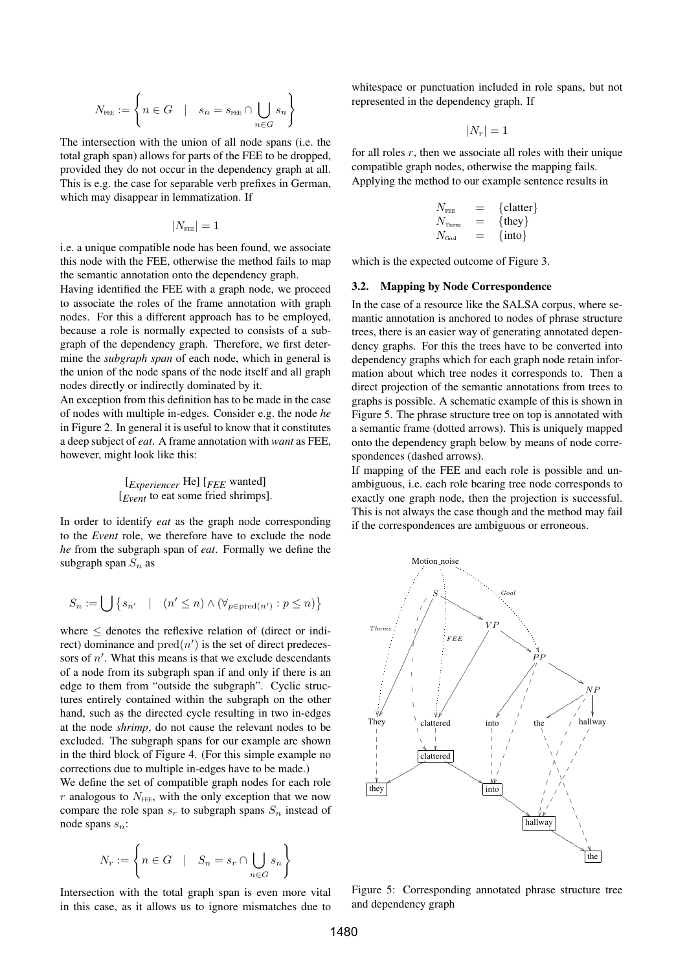$$
N_{\text{free}} := \left\{ n \in G \quad | \quad s_n = s_{\text{free}} \cap \bigcup_{n \in G} s_n \right\}
$$

The intersection with the union of all node spans (i.e. the total graph span) allows for parts of the FEE to be dropped, provided they do not occur in the dependency graph at all. This is e.g. the case for separable verb prefixes in German, which may disappear in lemmatization. If

$$
|N_{\rm{free}}|=1
$$

i.e. a unique compatible node has been found, we associate this node with the FEE, otherwise the method fails to map the semantic annotation onto the dependency graph.

Having identified the FEE with a graph node, we proceed to associate the roles of the frame annotation with graph nodes. For this a different approach has to be employed, because a role is normally expected to consists of a subgraph of the dependency graph. Therefore, we first determine the *subgraph span* of each node, which in general is the union of the node spans of the node itself and all graph nodes directly or indirectly dominated by it.

An exception from this definition has to be made in the case of nodes with multiple in-edges. Consider e.g. the node *he* in Figure 2. In general it is useful to know that it constitutes a deep subject of *eat*. A frame annotation with *want* as FEE, however, might look like this:

$$
[Experimenter He] [FEE wanted]
$$
  
[*Event* to eat some fired shrims].

In order to identify *eat* as the graph node corresponding to the *Event* role, we therefore have to exclude the node *he* from the subgraph span of *eat*. Formally we define the subgraph span  $S_n$  as

$$
S_n := \bigcup \big\{ s_{n'} \quad | \quad (n' \leq n) \wedge (\forall_{p \in \text{pred}(n')} : p \leq n) \big\}
$$

where  $\leq$  denotes the reflexive relation of (direct or indirect) dominance and  $pred(n')$  is the set of direct predecessors of  $n'$ . What this means is that we exclude descendants of a node from its subgraph span if and only if there is an edge to them from "outside the subgraph". Cyclic structures entirely contained within the subgraph on the other hand, such as the directed cycle resulting in two in-edges at the node *shrimp*, do not cause the relevant nodes to be excluded. The subgraph spans for our example are shown in the third block of Figure 4. (For this simple example no corrections due to multiple in-edges have to be made.)

We define the set of compatible graph nodes for each role  $r$  analogous to  $N_{\text{FEE}}$ , with the only exception that we now compare the role span  $s_r$  to subgraph spans  $S_n$  instead of node spans  $s_n$ :

$$
N_r := \left\{ n \in G \quad | \quad S_n = s_r \cap \bigcup_{n \in G} s_n \right\}
$$

Intersection with the total graph span is even more vital in this case, as it allows us to ignore mismatches due to

whitespace or punctuation included in role spans, but not represented in the dependency graph. If

 $|N_r| = 1$ 

for all roles  $r$ , then we associate all roles with their unique compatible graph nodes, otherwise the mapping fails. Applying the method to our example sentence results in

$$
\begin{array}{ccc} N_{\text{free}} & = & \{ \text{clatter} \} \\ N_{\text{There}} & = & \{ \text{they} \} \\ N_{\text{Goal}} & = & \{ \text{into} \} \end{array}
$$

which is the expected outcome of Figure 3.

#### 3.2. Mapping by Node Correspondence

In the case of a resource like the SALSA corpus, where semantic annotation is anchored to nodes of phrase structure trees, there is an easier way of generating annotated dependency graphs. For this the trees have to be converted into dependency graphs which for each graph node retain information about which tree nodes it corresponds to. Then a direct projection of the semantic annotations from trees to graphs is possible. A schematic example of this is shown in Figure 5. The phrase structure tree on top is annotated with a semantic frame (dotted arrows). This is uniquely mapped onto the dependency graph below by means of node correspondences (dashed arrows).

If mapping of the FEE and each role is possible and unambiguous, i.e. each role bearing tree node corresponds to exactly one graph node, then the projection is successful. This is not always the case though and the method may fail if the correspondences are ambiguous or erroneous.



Figure 5: Corresponding annotated phrase structure tree and dependency graph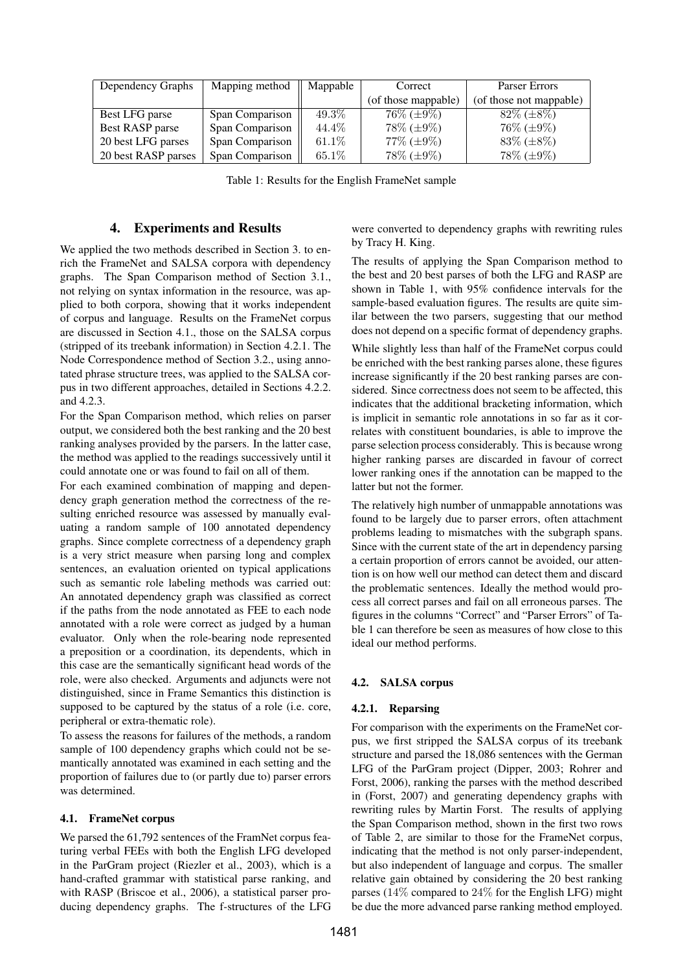| Dependency Graphs   | Mapping method  | Mappable | Correct              | Parser Errors           |
|---------------------|-----------------|----------|----------------------|-------------------------|
|                     |                 |          | (of those mappable)  | (of those not mappable) |
| Best LFG parse      | Span Comparison | $49.3\%$ | $76\%$ ( $\pm 9\%$ ) | $82\%~(\pm 8\%)$        |
| Best RASP parse     | Span Comparison | 44.4\%   | $78\% (\pm 9\%)$     | $76\% (\pm 9\%)$        |
| 20 best LFG parses  | Span Comparison | $61.1\%$ | $77\% (\pm 9\%)$     | $83\%~(\pm 8\%)$        |
| 20 best RASP parses | Span Comparison | 65.1%    | $78\% (\pm 9\%)$     | 78\% (±9\%)             |

Table 1: Results for the English FrameNet sample

## 4. Experiments and Results

We applied the two methods described in Section 3. to enrich the FrameNet and SALSA corpora with dependency graphs. The Span Comparison method of Section 3.1., not relying on syntax information in the resource, was applied to both corpora, showing that it works independent of corpus and language. Results on the FrameNet corpus are discussed in Section 4.1., those on the SALSA corpus (stripped of its treebank information) in Section 4.2.1. The Node Correspondence method of Section 3.2., using annotated phrase structure trees, was applied to the SALSA corpus in two different approaches, detailed in Sections 4.2.2. and 4.2.3.

For the Span Comparison method, which relies on parser output, we considered both the best ranking and the 20 best ranking analyses provided by the parsers. In the latter case, the method was applied to the readings successively until it could annotate one or was found to fail on all of them.

For each examined combination of mapping and dependency graph generation method the correctness of the resulting enriched resource was assessed by manually evaluating a random sample of 100 annotated dependency graphs. Since complete correctness of a dependency graph is a very strict measure when parsing long and complex sentences, an evaluation oriented on typical applications such as semantic role labeling methods was carried out: An annotated dependency graph was classified as correct if the paths from the node annotated as FEE to each node annotated with a role were correct as judged by a human evaluator. Only when the role-bearing node represented a preposition or a coordination, its dependents, which in this case are the semantically significant head words of the role, were also checked. Arguments and adjuncts were not distinguished, since in Frame Semantics this distinction is supposed to be captured by the status of a role (i.e. core, peripheral or extra-thematic role).

To assess the reasons for failures of the methods, a random sample of 100 dependency graphs which could not be semantically annotated was examined in each setting and the proportion of failures due to (or partly due to) parser errors was determined.

### 4.1. FrameNet corpus

We parsed the  $61,792$  sentences of the FramNet corpus featuring verbal FEEs with both the English LFG developed in the ParGram project (Riezler et al., 2003), which is a hand-crafted grammar with statistical parse ranking, and with RASP (Briscoe et al., 2006), a statistical parser producing dependency graphs. The f-structures of the LFG were converted to dependency graphs with rewriting rules by Tracy H. King.

The results of applying the Span Comparison method to the best and 20 best parses of both the LFG and RASP are shown in Table 1, with 95% confidence intervals for the sample-based evaluation figures. The results are quite similar between the two parsers, suggesting that our method does not depend on a specific format of dependency graphs.

While slightly less than half of the FrameNet corpus could be enriched with the best ranking parses alone, these figures increase significantly if the 20 best ranking parses are considered. Since correctness does not seem to be affected, this indicates that the additional bracketing information, which is implicit in semantic role annotations in so far as it correlates with constituent boundaries, is able to improve the parse selection process considerably. This is because wrong higher ranking parses are discarded in favour of correct lower ranking ones if the annotation can be mapped to the latter but not the former.

The relatively high number of unmappable annotations was found to be largely due to parser errors, often attachment problems leading to mismatches with the subgraph spans. Since with the current state of the art in dependency parsing a certain proportion of errors cannot be avoided, our attention is on how well our method can detect them and discard the problematic sentences. Ideally the method would process all correct parses and fail on all erroneous parses. The figures in the columns "Correct" and "Parser Errors" of Table 1 can therefore be seen as measures of how close to this ideal our method performs.

### 4.2. SALSA corpus

### 4.2.1. Reparsing

For comparison with the experiments on the FrameNet corpus, we first stripped the SALSA corpus of its treebank structure and parsed the 18,086 sentences with the German LFG of the ParGram project (Dipper, 2003; Rohrer and Forst, 2006), ranking the parses with the method described in (Forst, 2007) and generating dependency graphs with rewriting rules by Martin Forst. The results of applying the Span Comparison method, shown in the first two rows of Table 2, are similar to those for the FrameNet corpus, indicating that the method is not only parser-independent, but also independent of language and corpus. The smaller relative gain obtained by considering the 20 best ranking parses (14% compared to 24% for the English LFG) might be due the more advanced parse ranking method employed.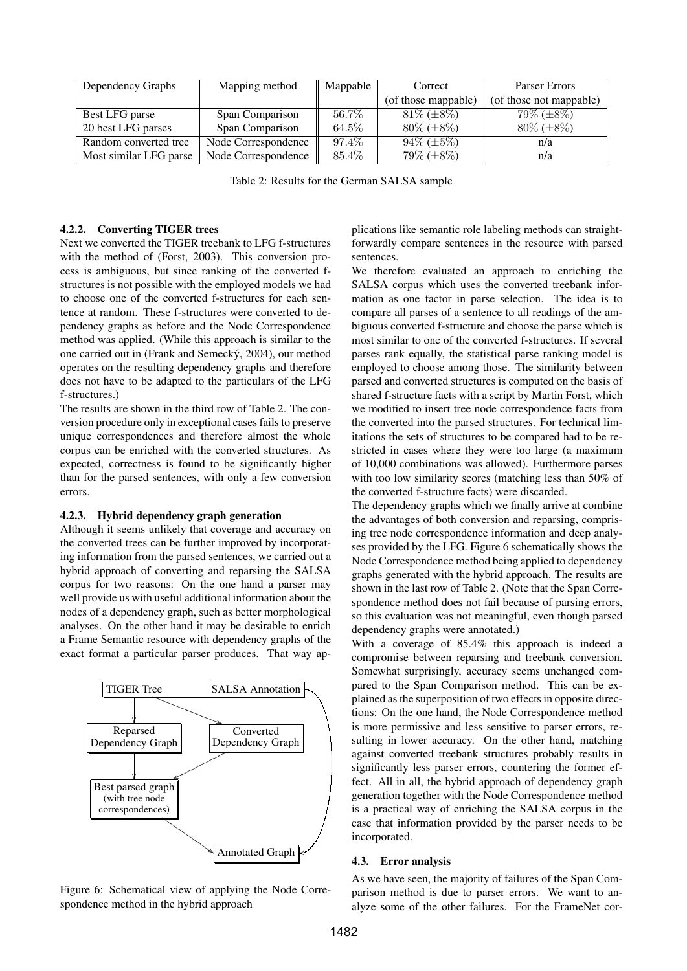| Dependency Graphs      | Mapping method      | Mappable | Correct             | Parser Errors           |
|------------------------|---------------------|----------|---------------------|-------------------------|
|                        |                     |          | (of those mappable) | (of those not mappable) |
| Best LFG parse         | Span Comparison     | 56.7%    | $81\%~(\pm 8\%)$    | $79\%~(\pm 8\%)$        |
| 20 best LFG parses     | Span Comparison     | 64.5%    | $80\% (\pm 8\%)$    | $80\%$ ( $\pm 8\%$ )    |
| Random converted tree  | Node Correspondence | 97.4%    | $94\%~(\pm 5\%)$    | n/a                     |
| Most similar LFG parse | Node Correspondence | 85.4%    | 79% (±8%)           | n/a                     |

Table 2: Results for the German SALSA sample

### 4.2.2. Converting TIGER trees

Next we converted the TIGER treebank to LFG f-structures with the method of (Forst, 2003). This conversion process is ambiguous, but since ranking of the converted fstructures is not possible with the employed models we had to choose one of the converted f-structures for each sentence at random. These f-structures were converted to dependency graphs as before and the Node Correspondence method was applied. (While this approach is similar to the one carried out in (Frank and Semecký, 2004), our method operates on the resulting dependency graphs and therefore does not have to be adapted to the particulars of the LFG f-structures.)

The results are shown in the third row of Table 2. The conversion procedure only in exceptional cases fails to preserve unique correspondences and therefore almost the whole corpus can be enriched with the converted structures. As expected, correctness is found to be significantly higher than for the parsed sentences, with only a few conversion errors.

#### 4.2.3. Hybrid dependency graph generation

Although it seems unlikely that coverage and accuracy on the converted trees can be further improved by incorporating information from the parsed sentences, we carried out a hybrid approach of converting and reparsing the SALSA corpus for two reasons: On the one hand a parser may well provide us with useful additional information about the nodes of a dependency graph, such as better morphological analyses. On the other hand it may be desirable to enrich a Frame Semantic resource with dependency graphs of the exact format a particular parser produces. That way ap-



Figure 6: Schematical view of applying the Node Correspondence method in the hybrid approach

plications like semantic role labeling methods can straightforwardly compare sentences in the resource with parsed sentences.

We therefore evaluated an approach to enriching the SALSA corpus which uses the converted treebank information as one factor in parse selection. The idea is to compare all parses of a sentence to all readings of the ambiguous converted f-structure and choose the parse which is most similar to one of the converted f-structures. If several parses rank equally, the statistical parse ranking model is employed to choose among those. The similarity between parsed and converted structures is computed on the basis of shared f-structure facts with a script by Martin Forst, which we modified to insert tree node correspondence facts from the converted into the parsed structures. For technical limitations the sets of structures to be compared had to be restricted in cases where they were too large (a maximum of 10,000 combinations was allowed). Furthermore parses with too low similarity scores (matching less than 50% of the converted f-structure facts) were discarded.

The dependency graphs which we finally arrive at combine the advantages of both conversion and reparsing, comprising tree node correspondence information and deep analyses provided by the LFG. Figure 6 schematically shows the Node Correspondence method being applied to dependency graphs generated with the hybrid approach. The results are shown in the last row of Table 2. (Note that the Span Correspondence method does not fail because of parsing errors, so this evaluation was not meaningful, even though parsed dependency graphs were annotated.)

With a coverage of 85.4% this approach is indeed a compromise between reparsing and treebank conversion. Somewhat surprisingly, accuracy seems unchanged compared to the Span Comparison method. This can be explained as the superposition of two effects in opposite directions: On the one hand, the Node Correspondence method is more permissive and less sensitive to parser errors, resulting in lower accuracy. On the other hand, matching against converted treebank structures probably results in significantly less parser errors, countering the former effect. All in all, the hybrid approach of dependency graph generation together with the Node Correspondence method is a practical way of enriching the SALSA corpus in the case that information provided by the parser needs to be incorporated.

### 4.3. Error analysis

As we have seen, the majority of failures of the Span Comparison method is due to parser errors. We want to analyze some of the other failures. For the FrameNet cor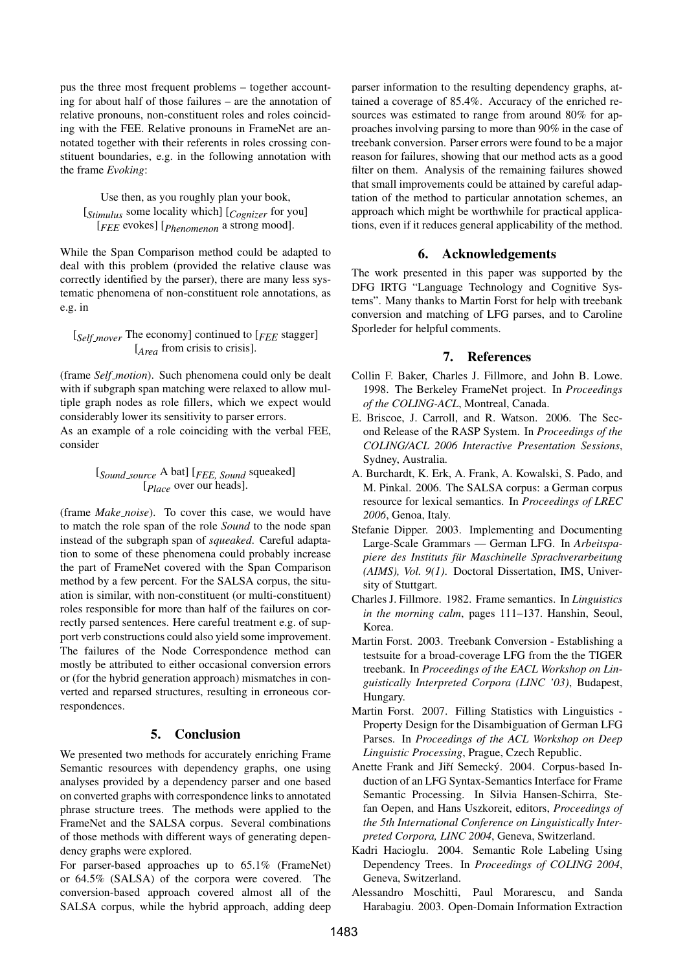pus the three most frequent problems – together accounting for about half of those failures – are the annotation of relative pronouns, non-constituent roles and roles coinciding with the FEE. Relative pronouns in FrameNet are annotated together with their referents in roles crossing constituent boundaries, e.g. in the following annotation with the frame *Evoking*:

Use then, as you roughly plan your book, [*Stimulus* some locality which] [*Cognizer* for you] [*FEE* evokes] [*Phenomenon* a strong mood].

While the Span Comparison method could be adapted to deal with this problem (provided the relative clause was correctly identified by the parser), there are many less systematic phenomena of non-constituent role annotations, as e.g. in

## [*Self mover* The economy] continued to [*FEE* stagger] [*Area* from crisis to crisis].

(frame *Self motion*). Such phenomena could only be dealt with if subgraph span matching were relaxed to allow multiple graph nodes as role fillers, which we expect would considerably lower its sensitivity to parser errors.

As an example of a role coinciding with the verbal FEE, consider

## [*Sound source* A bat] [*FEE, Sound* squeaked] [*Place* over our heads].

(frame *Make noise*). To cover this case, we would have to match the role span of the role *Sound* to the node span instead of the subgraph span of *squeaked*. Careful adaptation to some of these phenomena could probably increase the part of FrameNet covered with the Span Comparison method by a few percent. For the SALSA corpus, the situation is similar, with non-constituent (or multi-constituent) roles responsible for more than half of the failures on correctly parsed sentences. Here careful treatment e.g. of support verb constructions could also yield some improvement. The failures of the Node Correspondence method can mostly be attributed to either occasional conversion errors or (for the hybrid generation approach) mismatches in converted and reparsed structures, resulting in erroneous correspondences.

## 5. Conclusion

We presented two methods for accurately enriching Frame Semantic resources with dependency graphs, one using analyses provided by a dependency parser and one based on converted graphs with correspondence links to annotated phrase structure trees. The methods were applied to the FrameNet and the SALSA corpus. Several combinations of those methods with different ways of generating dependency graphs were explored.

For parser-based approaches up to 65.1% (FrameNet) or 64.5% (SALSA) of the corpora were covered. The conversion-based approach covered almost all of the SALSA corpus, while the hybrid approach, adding deep

parser information to the resulting dependency graphs, attained a coverage of 85.4%. Accuracy of the enriched resources was estimated to range from around 80% for approaches involving parsing to more than 90% in the case of treebank conversion. Parser errors were found to be a major reason for failures, showing that our method acts as a good filter on them. Analysis of the remaining failures showed that small improvements could be attained by careful adaptation of the method to particular annotation schemes, an approach which might be worthwhile for practical applications, even if it reduces general applicability of the method.

## 6. Acknowledgements

The work presented in this paper was supported by the DFG IRTG "Language Technology and Cognitive Systems". Many thanks to Martin Forst for help with treebank conversion and matching of LFG parses, and to Caroline Sporleder for helpful comments.

## 7. References

- Collin F. Baker, Charles J. Fillmore, and John B. Lowe. 1998. The Berkeley FrameNet project. In *Proceedings of the COLING-ACL*, Montreal, Canada.
- E. Briscoe, J. Carroll, and R. Watson. 2006. The Second Release of the RASP System. In *Proceedings of the COLING/ACL 2006 Interactive Presentation Sessions*, Sydney, Australia.
- A. Burchardt, K. Erk, A. Frank, A. Kowalski, S. Pado, and M. Pinkal. 2006. The SALSA corpus: a German corpus resource for lexical semantics. In *Proceedings of LREC 2006*, Genoa, Italy.
- Stefanie Dipper. 2003. Implementing and Documenting Large-Scale Grammars — German LFG. In *Arbeitspapiere des Instituts fur Maschinelle Sprachverarbeitung ¨ (AIMS), Vol. 9(1)*. Doctoral Dissertation, IMS, University of Stuttgart.
- Charles J. Fillmore. 1982. Frame semantics. In *Linguistics in the morning calm*, pages 111–137. Hanshin, Seoul, Korea.
- Martin Forst. 2003. Treebank Conversion Establishing a testsuite for a broad-coverage LFG from the the TIGER treebank. In *Proceedings of the EACL Workshop on Linguistically Interpreted Corpora (LINC '03)*, Budapest, Hungary.
- Martin Forst. 2007. Filling Statistics with Linguistics Property Design for the Disambiguation of German LFG Parses. In *Proceedings of the ACL Workshop on Deep Linguistic Processing*, Prague, Czech Republic.
- Anette Frank and Jiří Semecký. 2004. Corpus-based Induction of an LFG Syntax-Semantics Interface for Frame Semantic Processing. In Silvia Hansen-Schirra, Stefan Oepen, and Hans Uszkoreit, editors, *Proceedings of the 5th International Conference on Linguistically Interpreted Corpora, LINC 2004*, Geneva, Switzerland.
- Kadri Hacioglu. 2004. Semantic Role Labeling Using Dependency Trees. In *Proceedings of COLING 2004*, Geneva, Switzerland.
- Alessandro Moschitti, Paul Morarescu, and Sanda Harabagiu. 2003. Open-Domain Information Extraction